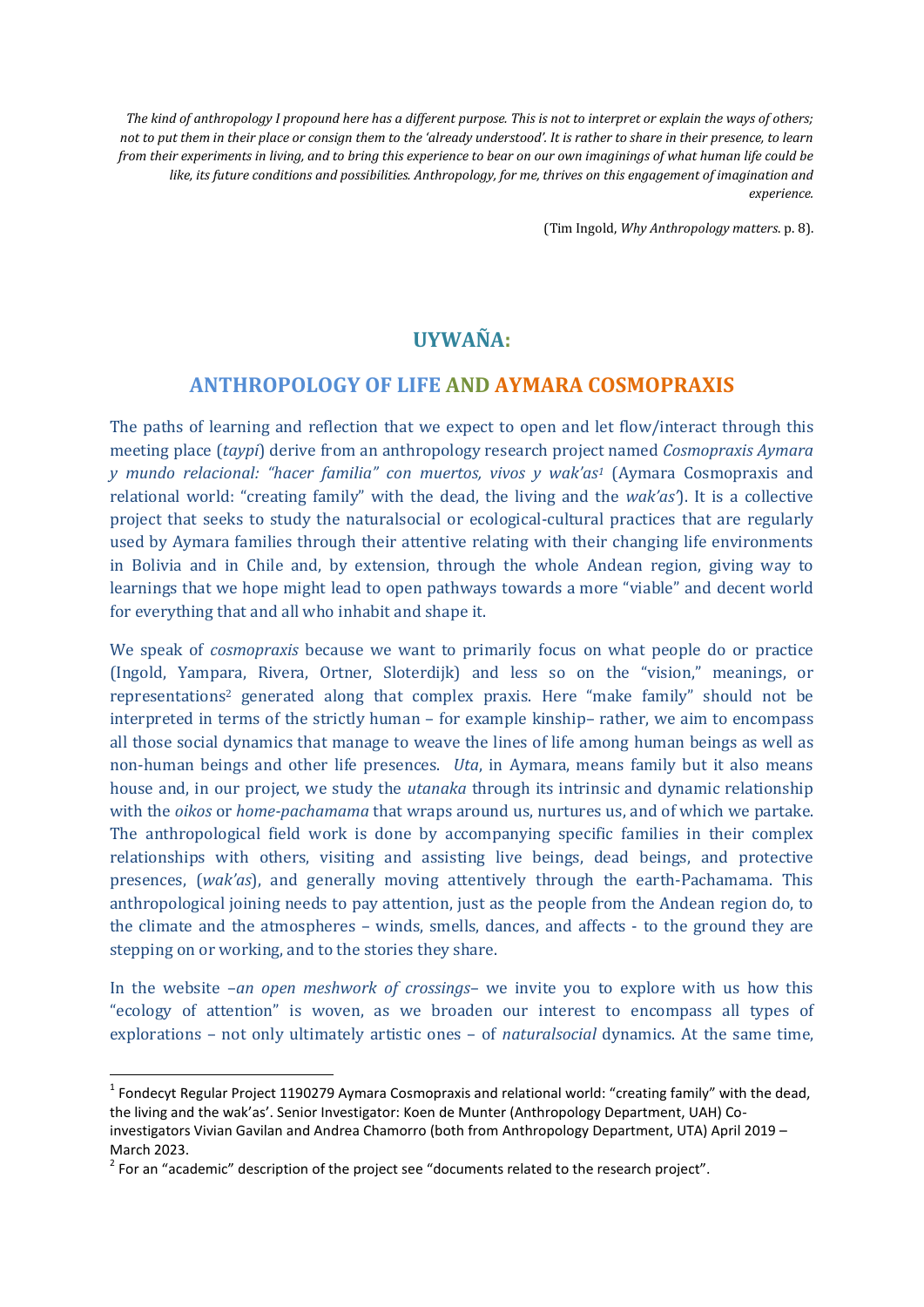*The kind of anthropology I propound here has a different purpose. This is not to interpret or explain the ways of others; not to put them in their place or consign them to the 'already understood'. It is rather to share in their presence, to learn from their experiments in living, and to bring this experience to bear on our own imaginings of what human life could be like, its future conditions and possibilities. Anthropology, for me, thrives on this engagement of imagination and experience.* 

(Tim Ingold, *Why Anthropology matters*. p. 8).

## **UYWAÑA:**

## **ANTHROPOLOGY OF LIFE AND AYMARA COSMOPRAXIS**

The paths of learning and reflection that we expect to open and let flow/interact through this meeting place (*taypi*) derive from an anthropology research project named *Cosmopraxis Aymara y mundo relacional: "hacer familia" con muertos, vivos y wak'as<sup>1</sup>* (Aymara Cosmopraxis and relational world: "creating family" with the dead, the living and the *wak'as'*). It is a collective project that seeks to study the naturalsocial or ecological-cultural practices that are regularly used by Aymara families through their attentive relating with their changing life environments in Bolivia and in Chile and, by extension, through the whole Andean region, giving way to learnings that we hope might lead to open pathways towards a more "viable" and decent world for everything that and all who inhabit and shape it.

We speak of *cosmopraxis* because we want to primarily focus on what people do or practice (Ingold, Yampara, Rivera, Ortner, Sloterdijk) and less so on the "vision," meanings, or representations <sup>2</sup> generated along that complex praxis. Here "make family" should not be interpreted in terms of the strictly human – for example kinship– rather, we aim to encompass all those social dynamics that manage to weave the lines of life among human beings as well as non-human beings and other life presences. *Uta*, in Aymara, means family but it also means house and, in our project, we study the *utanaka* through its intrinsic and dynamic relationship with the *oikos* or *home-pachamama* that wraps around us, nurtures us, and of which we partake. The anthropological field work is done by accompanying specific families in their complex relationships with others, visiting and assisting live beings, dead beings, and protective presences, (*wak'as*), and generally moving attentively through the earth-Pachamama. This anthropological joining needs to pay attention, just as the people from the Andean region do, to the climate and the atmospheres – winds, smells, dances, and affects - to the ground they are stepping on or working, and to the stories they share.

In the website –*an open meshwork of crossings*– we invite you to explore with us how this "ecology of attention" is woven, as we broaden our interest to encompass all types of explorations – not only ultimately artistic ones – of *naturalsocial* dynamics. At the same time,

**.** 

<sup>&</sup>lt;sup>1</sup> Fondecyt Regular Project 1190279 Aymara Cosmopraxis and relational world: "creating family" with the dead, the living and the wak'as'. Senior Investigator: Koen de Munter (Anthropology Department, UAH) Coinvestigators Vivian Gavilan and Andrea Chamorro (both from Anthropology Department, UTA) April 2019 – March 2023.

 $2$  For an "academic" description of the project see "documents related to the research project".